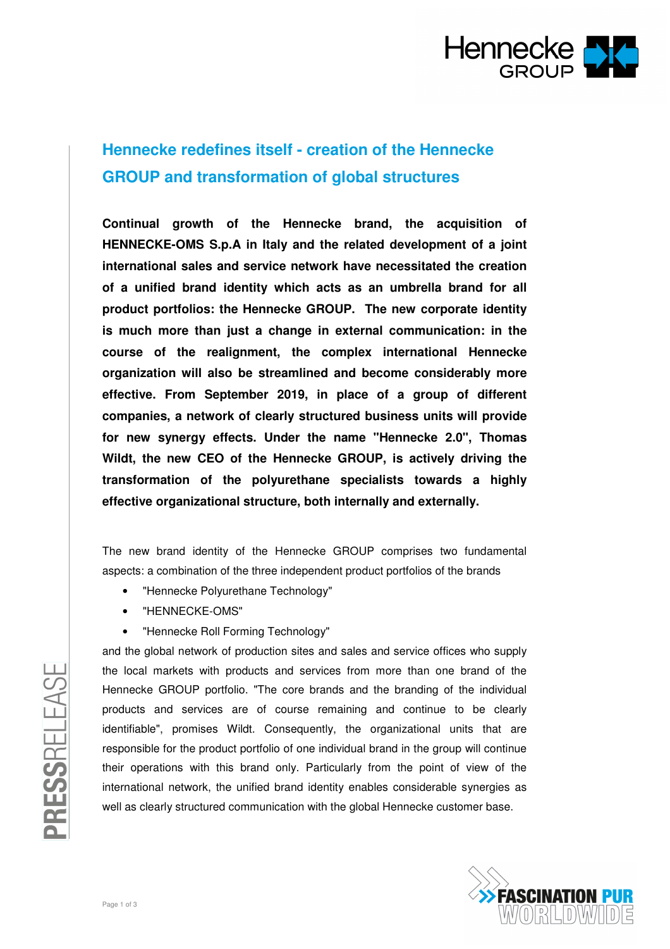

## **Hennecke redefines itself - creation of the Hennecke GROUP and transformation of global structures**

**Continual growth of the Hennecke brand, the acquisition of HENNECKE-OMS S.p.A in Italy and the related development of a joint international sales and service network have necessitated the creation of a unified brand identity which acts as an umbrella brand for all product portfolios: the Hennecke GROUP. The new corporate identity is much more than just a change in external communication: in the course of the realignment, the complex international Hennecke organization will also be streamlined and become considerably more effective. From September 2019, in place of a group of different companies, a network of clearly structured business units will provide for new synergy effects. Under the name "Hennecke 2.0", Thomas Wildt, the new CEO of the Hennecke GROUP, is actively driving the transformation of the polyurethane specialists towards a highly effective organizational structure, both internally and externally.** 

The new brand identity of the Hennecke GROUP comprises two fundamental aspects: a combination of the three independent product portfolios of the brands

- "Hennecke Polyurethane Technology"
- "HENNECKE-OMS"
- "Hennecke Roll Forming Technology"

and the global network of production sites and sales and service offices who supply the local markets with products and services from more than one brand of the Hennecke GROUP portfolio. "The core brands and the branding of the individual products and services are of course remaining and continue to be clearly identifiable", promises Wildt. Consequently, the organizational units that are responsible for the product portfolio of one individual brand in the group will continue their operations with this brand only. Particularly from the point of view of the international network, the unified brand identity enables considerable synergies as well as clearly structured communication with the global Hennecke customer base.



PRESSRELEASE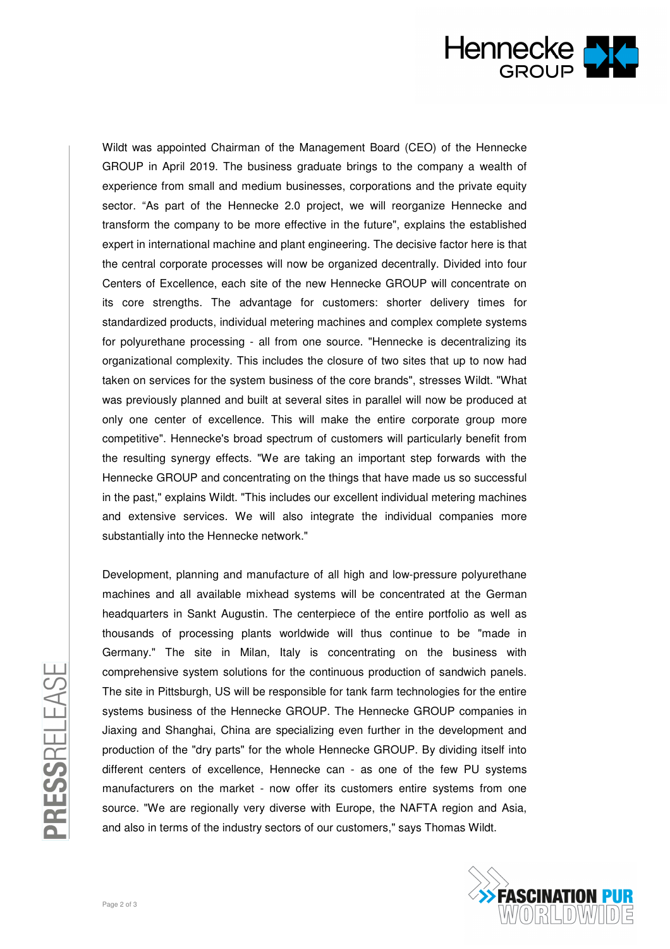

Wildt was appointed Chairman of the Management Board (CEO) of the Hennecke GROUP in April 2019. The business graduate brings to the company a wealth of experience from small and medium businesses, corporations and the private equity sector. "As part of the Hennecke 2.0 project, we will reorganize Hennecke and transform the company to be more effective in the future", explains the established expert in international machine and plant engineering. The decisive factor here is that the central corporate processes will now be organized decentrally. Divided into four Centers of Excellence, each site of the new Hennecke GROUP will concentrate on its core strengths. The advantage for customers: shorter delivery times for standardized products, individual metering machines and complex complete systems for polyurethane processing - all from one source. "Hennecke is decentralizing its organizational complexity. This includes the closure of two sites that up to now had taken on services for the system business of the core brands", stresses Wildt. "What was previously planned and built at several sites in parallel will now be produced at only one center of excellence. This will make the entire corporate group more competitive". Hennecke's broad spectrum of customers will particularly benefit from the resulting synergy effects. "We are taking an important step forwards with the Hennecke GROUP and concentrating on the things that have made us so successful in the past," explains Wildt. "This includes our excellent individual metering machines and extensive services. We will also integrate the individual companies more substantially into the Hennecke network."

Development, planning and manufacture of all high and low-pressure polyurethane machines and all available mixhead systems will be concentrated at the German headquarters in Sankt Augustin. The centerpiece of the entire portfolio as well as thousands of processing plants worldwide will thus continue to be "made in Germany." The site in Milan, Italy is concentrating on the business with comprehensive system solutions for the continuous production of sandwich panels. The site in Pittsburgh, US will be responsible for tank farm technologies for the entire systems business of the Hennecke GROUP. The Hennecke GROUP companies in Jiaxing and Shanghai, China are specializing even further in the development and production of the "dry parts" for the whole Hennecke GROUP. By dividing itself into different centers of excellence, Hennecke can - as one of the few PU systems manufacturers on the market - now offer its customers entire systems from one source. "We are regionally very diverse with Europe, the NAFTA region and Asia, and also in terms of the industry sectors of our customers," says Thomas Wildt.



PRESSRELEASE